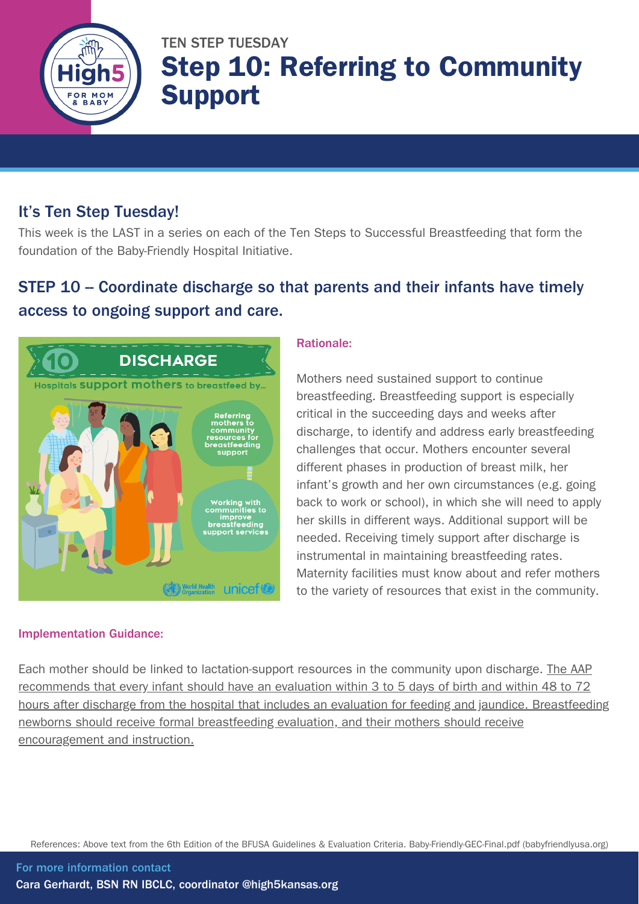

# TEN STEP TUESDAY Step 10: Referring to Community Support

### It's Ten Step Tuesday!

This week is the LAST in a series on each of the Ten Steps to Successful Breastfeeding that form the foundation of the Baby-Friendly Hospital Initiative.

## STEP 10 – Coordinate discharge so that parents and their infants have timely access to ongoing support and care.



#### Implementation Guidance:

#### Rationale:

Mothers need sustained support to continue breastfeeding. Breastfeeding support is especially critical in the succeeding days and weeks after discharge, to identify and address early breastfeeding challenges that occur. Mothers encounter several different phases in production of breast milk, her infant's growth and her own circumstances (e.g. going back to work or school), in which she will need to apply her skills in different ways. Additional support will be needed. Receiving timely support after discharge is instrumental in maintaining breastfeeding rates. Maternity facilities must know about and refer mothers to the variety of resources that exist in the community.

Each mother should be linked to lactation-support resources in the community upon discharge. The AAP recommends that every infant should have an evaluation within 3 to 5 days of birth and within 48 to 72 hours after discharge from the hospital that includes an evaluation for feeding and jaundice. Breastfeeding newborns should receive formal breastfeeding evaluation, and their mothers should receive encouragement and instruction.

References: Above text from the 6th Edition of the BFUSA Guidelines & Evaluation Criteria. [Baby-Friendly-GEC-Final.pdf](https://www.babyfriendlyusa.org/wp-content/uploads/2021/07/Baby-Friendly-GEC-Final.pdf) (babyfriendlyusa.org)